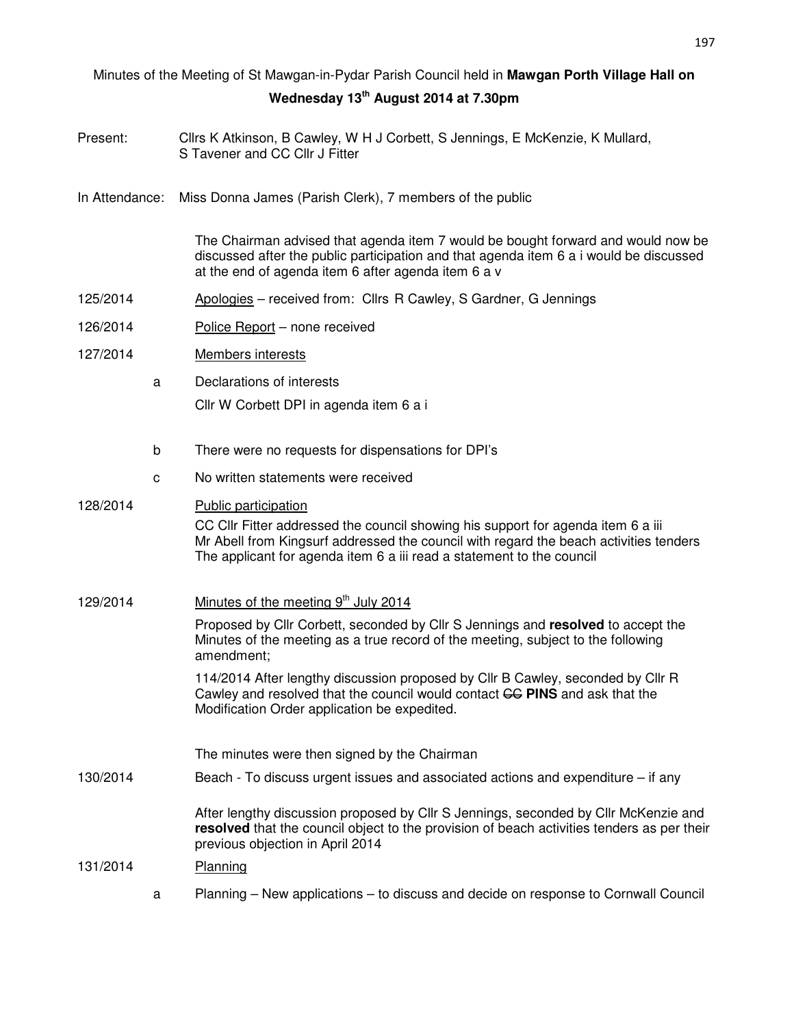## Minutes of the Meeting of St Mawgan-in-Pydar Parish Council held in **Mawgan Porth Village Hall on Wednesday 13th August 2014 at 7.30pm**

- Present: Cllrs K Atkinson, B Cawley, W H J Corbett, S Jennings, E McKenzie, K Mullard, S Tavener and CC Cllr J Fitter
- In Attendance: Miss Donna James (Parish Clerk), 7 members of the public

 The Chairman advised that agenda item 7 would be bought forward and would now be discussed after the public participation and that agenda item 6 a i would be discussed at the end of agenda item 6 after agenda item 6 a v

- 125/2014 Apologies received from: Cllrs R Cawley, S Gardner, G Jennings
- 126/2014 Police Report none received
- 127/2014 Members interests
	- a Declarations of interests Cllr W Corbett DPI in agenda item 6 a i
	- b There were no requests for dispensations for DPI's
	- c No written statements were received

# 128/2014 Public participation CC Cllr Fitter addressed the council showing his support for agenda item 6 a iii Mr Abell from Kingsurf addressed the council with regard the beach activities tenders The applicant for agenda item 6 a iii read a statement to the council 129/2014 Minutes of the meeting  $9<sup>th</sup>$  July 2014 Proposed by Cllr Corbett, seconded by Cllr S Jennings and **resolved** to accept the Minutes of the meeting as a true record of the meeting, subject to the following amendment; 114/2014 After lengthy discussion proposed by Cllr B Cawley, seconded by Cllr R Cawley and resolved that the council would contact **GG PINS** and ask that the Modification Order application be expedited. The minutes were then signed by the Chairman 130/2014 Beach - To discuss urgent issues and associated actions and expenditure – if any After lengthy discussion proposed by Cllr S Jennings, seconded by Cllr McKenzie and **resolved** that the council object to the provision of beach activities tenders as per their

### previous objection in April 2014 131/2014 Planning

a Planning – New applications – to discuss and decide on response to Cornwall Council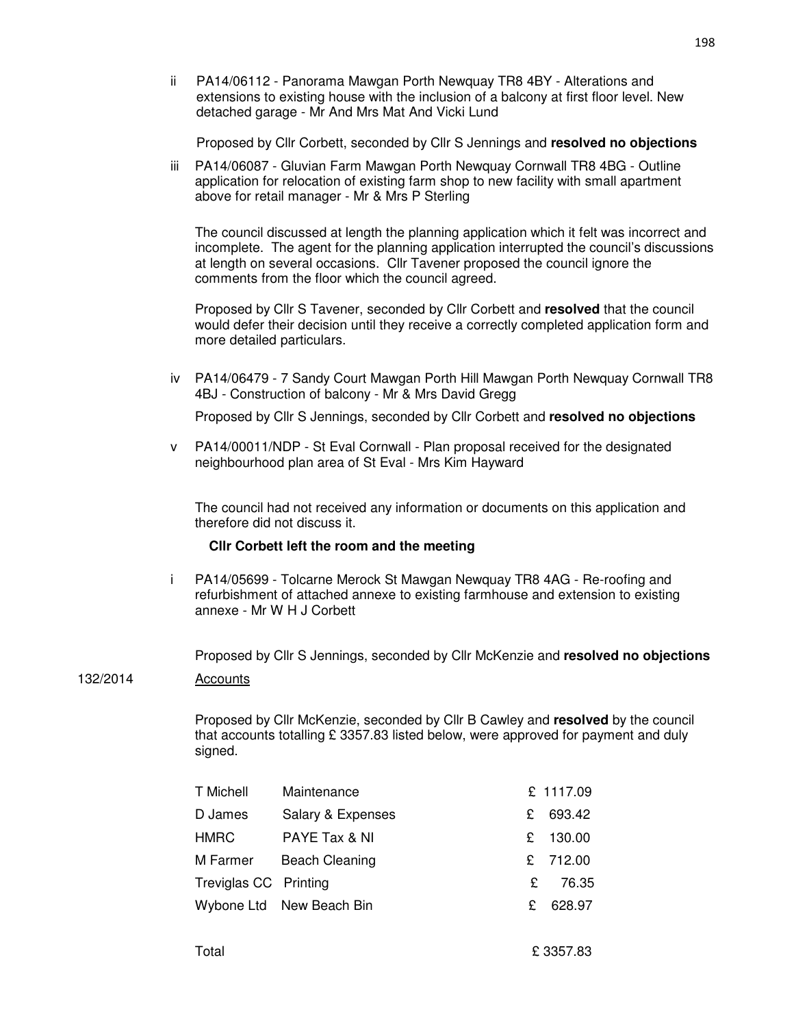ii PA14/06112 - Panorama Mawgan Porth Newquay TR8 4BY - Alterations and extensions to existing house with the inclusion of a balcony at first floor level. New detached garage - Mr And Mrs Mat And Vicki Lund

Proposed by Cllr Corbett, seconded by Cllr S Jennings and **resolved no objections**

 iii PA14/06087 - Gluvian Farm Mawgan Porth Newquay Cornwall TR8 4BG - Outline application for relocation of existing farm shop to new facility with small apartment above for retail manager - Mr & Mrs P Sterling

The council discussed at length the planning application which it felt was incorrect and incomplete. The agent for the planning application interrupted the council's discussions at length on several occasions. Cllr Tavener proposed the council ignore the comments from the floor which the council agreed.

Proposed by Cllr S Tavener, seconded by Cllr Corbett and **resolved** that the council would defer their decision until they receive a correctly completed application form and more detailed particulars.

 iv PA14/06479 - 7 Sandy Court Mawgan Porth Hill Mawgan Porth Newquay Cornwall TR8 4BJ - Construction of balcony - Mr & Mrs David Gregg

Proposed by Cllr S Jennings, seconded by Cllr Corbett and **resolved no objections**

 v PA14/00011/NDP - St Eval Cornwall - Plan proposal received for the designated neighbourhood plan area of St Eval - Mrs Kim Hayward

The council had not received any information or documents on this application and therefore did not discuss it.

#### **Cllr Corbett left the room and the meeting**

 i PA14/05699 - Tolcarne Merock St Mawgan Newquay TR8 4AG - Re-roofing and refurbishment of attached annexe to existing farmhouse and extension to existing annexe - Mr W H J Corbett

Proposed by Cllr S Jennings, seconded by Cllr McKenzie and **resolved no objections**

#### 132/2014 Accounts

Proposed by Cllr McKenzie, seconded by Cllr B Cawley and **resolved** by the council that accounts totalling £ 3357.83 listed below, were approved for payment and duly signed.

| T Michell             | Maintenance              |    | £ 1117.09 |
|-----------------------|--------------------------|----|-----------|
| D James               | Salary & Expenses        | £. | 693.42    |
| <b>HMRC</b>           | PAYE Tax & NI            |    | £ 130.00  |
| M Farmer              | <b>Beach Cleaning</b>    |    | £ 712.00  |
| Treviglas CC Printing |                          | £  | 76.35     |
|                       | Wybone Ltd New Beach Bin | £  | 628.97    |
|                       |                          |    |           |